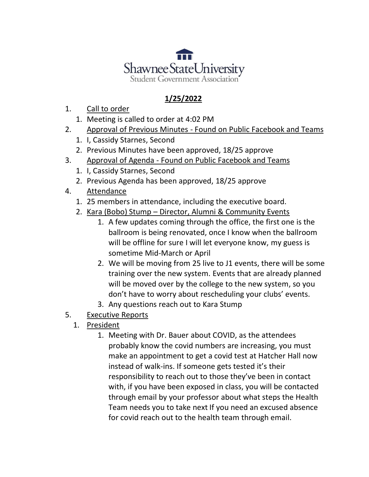

## **1/25/2022**

- 1. Call to order
	- 1. Meeting is called to order at 4:02 PM
- 2. Approval of Previous Minutes Found on Public Facebook and Teams
	- 1. I, Cassidy Starnes, Second
	- 2. Previous Minutes have been approved, 18/25 approve
- 3. Approval of Agenda Found on Public Facebook and Teams
	- 1. I, Cassidy Starnes, Second
	- 2. Previous Agenda has been approved, 18/25 approve
- 4. Attendance
	- 1. 25 members in attendance, including the executive board.
	- 2. Kara (Bobo) Stump Director, Alumni & Community Events
		- 1. A few updates coming through the office, the first one is the ballroom is being renovated, once I know when the ballroom will be offline for sure I will let everyone know, my guess is sometime Mid-March or April
		- 2. We will be moving from 25 live to J1 events, there will be some training over the new system. Events that are already planned will be moved over by the college to the new system, so you don't have to worry about rescheduling your clubs' events.
		- 3. Any questions reach out to Kara Stump
- 5. Executive Reports
	- 1. President
		- 1. Meeting with Dr. Bauer about COVID, as the attendees probably know the covid numbers are increasing, you must make an appointment to get a covid test at Hatcher Hall now instead of walk-ins. If someone gets tested it's their responsibility to reach out to those they've been in contact with, if you have been exposed in class, you will be contacted through email by your professor about what steps the Health Team needs you to take next If you need an excused absence for covid reach out to the health team through email.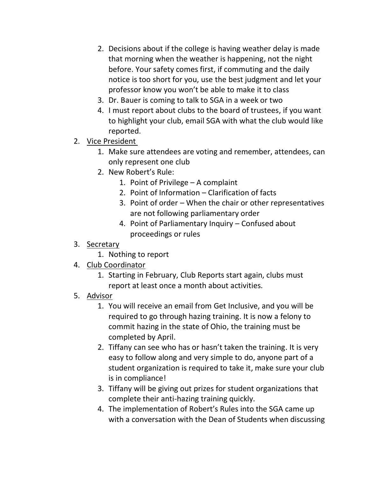- 2. Decisions about if the college is having weather delay is made that morning when the weather is happening, not the night before. Your safety comes first, if commuting and the daily notice is too short for you, use the best judgment and let your professor know you won't be able to make it to class
- 3. Dr. Bauer is coming to talk to SGA in a week or two
- 4. I must report about clubs to the board of trustees, if you want to highlight your club, email SGA with what the club would like reported.
- 2. Vice President
	- 1. Make sure attendees are voting and remember, attendees, can only represent one club
	- 2. New Robert's Rule:
		- 1. Point of Privilege A complaint
		- 2. Point of Information Clarification of facts
		- 3. Point of order When the chair or other representatives are not following parliamentary order
		- 4. Point of Parliamentary Inquiry Confused about proceedings or rules
- 3. Secretary
	- 1. Nothing to report
- 4. Club Coordinator
	- 1. Starting in February, Club Reports start again, clubs must report at least once a month about activities.
- 5. Advisor
	- 1. You will receive an email from Get Inclusive, and you will be required to go through hazing training. It is now a felony to commit hazing in the state of Ohio, the training must be completed by April.
	- 2. Tiffany can see who has or hasn't taken the training. It is very easy to follow along and very simple to do, anyone part of a student organization is required to take it, make sure your club is in compliance!
	- 3. Tiffany will be giving out prizes for student organizations that complete their anti-hazing training quickly.
	- 4. The implementation of Robert's Rules into the SGA came up with a conversation with the Dean of Students when discussing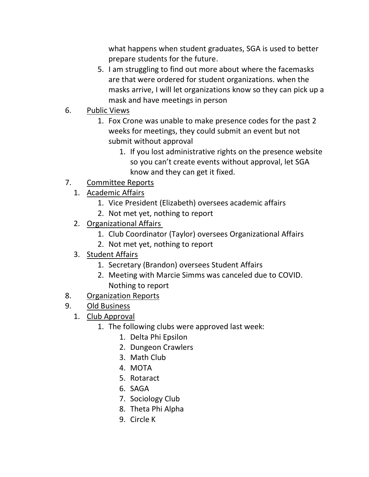what happens when student graduates, SGA is used to better prepare students for the future.

- 5. I am struggling to find out more about where the facemasks are that were ordered for student organizations. when the masks arrive, I will let organizations know so they can pick up a mask and have meetings in person
- 6. Public Views
	- 1. Fox Crone was unable to make presence codes for the past 2 weeks for meetings, they could submit an event but not submit without approval
		- 1. If you lost administrative rights on the presence website so you can't create events without approval, let SGA know and they can get it fixed.
- 7. Committee Reports
	- 1. Academic Affairs
		- 1. Vice President (Elizabeth) oversees academic affairs
		- 2. Not met yet, nothing to report
	- 2. Organizational Affairs
		- 1. Club Coordinator (Taylor) oversees Organizational Affairs
		- 2. Not met yet, nothing to report
	- 3. Student Affairs
		- 1. Secretary (Brandon) oversees Student Affairs
		- 2. Meeting with Marcie Simms was canceled due to COVID. Nothing to report
- 8. Organization Reports
- 9. Old Business
	- 1. Club Approval
		- 1. The following clubs were approved last week:
			- 1. Delta Phi Epsilon
			- 2. Dungeon Crawlers
			- 3. Math Club
			- 4. MOTA
			- 5. Rotaract
			- 6. SAGA
			- 7. Sociology Club
			- 8. Theta Phi Alpha
			- 9. Circle K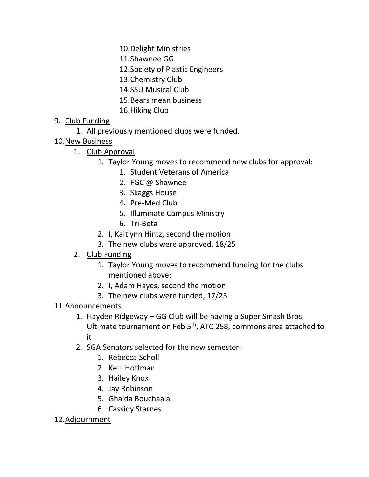10.Delight Ministries

- 11.Shawnee GG
- 12.Society of Plastic Engineers
- 13.Chemistry Club
- 14.SSU Musical Club
- 15.Bears mean business
- 16.Hiking Club

## 9. Club Funding

- 1. All previously mentioned clubs were funded.
- 10.New Business
	- 1. Club Approval
		- 1. Taylor Young moves to recommend new clubs for approval:
			- 1. Student Veterans of America
			- 2. FGC @ Shawnee
			- 3. Skaggs House
			- 4. Pre-Med Club
			- 5. Illuminate Campus Ministry
			- 6. Tri-Beta
		- 2. I, Kaitlynn Hintz, second the motion
		- 3. The new clubs were approved, 18/25
	- 2. Club Funding
		- 1. Taylor Young moves to recommend funding for the clubs mentioned above:
		- 2. I, Adam Hayes, second the motion
		- 3. The new clubs were funded, 17/25

## 11.Announcements

- 1. Hayden Ridgeway GG Club will be having a Super Smash Bros. Ultimate tournament on Feb 5th, ATC 258, commons area attached to it
- 2. SGA Senators selected for the new semester:
	- 1. Rebecca Scholl
	- 2. Kelli Hoffman
	- 3. Hailey Knox
	- 4. Jay Robinson
	- 5. Ghaida Bouchaala
	- 6. Cassidy Starnes

## 12.Adjournment